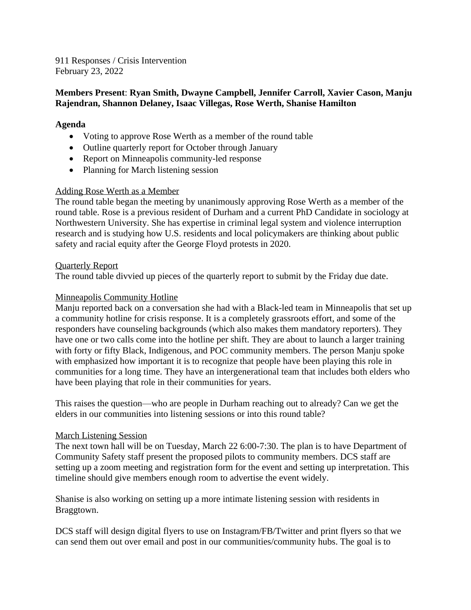911 Responses / Crisis Intervention February 23, 2022

# **Members Present**: **Ryan Smith, Dwayne Campbell, Jennifer Carroll, Xavier Cason, Manju Rajendran, Shannon Delaney, Isaac Villegas, Rose Werth, Shanise Hamilton**

# **Agenda**

- Voting to approve Rose Werth as a member of the round table
- Outline quarterly report for October through January
- Report on Minneapolis community-led response
- Planning for March listening session

## Adding Rose Werth as a Member

The round table began the meeting by unanimously approving Rose Werth as a member of the round table. Rose is a previous resident of Durham and a current PhD Candidate in sociology at Northwestern University. She has expertise in criminal legal system and violence interruption research and is studying how U.S. residents and local policymakers are thinking about public safety and racial equity after the George Floyd protests in 2020.

#### Quarterly Report

The round table divvied up pieces of the quarterly report to submit by the Friday due date.

## Minneapolis Community Hotline

Manju reported back on a conversation she had with a Black-led team in Minneapolis that set up a community hotline for crisis response. It is a completely grassroots effort, and some of the responders have counseling backgrounds (which also makes them mandatory reporters). They have one or two calls come into the hotline per shift. They are about to launch a larger training with forty or fifty Black, Indigenous, and POC community members. The person Manju spoke with emphasized how important it is to recognize that people have been playing this role in communities for a long time. They have an intergenerational team that includes both elders who have been playing that role in their communities for years.

This raises the question—who are people in Durham reaching out to already? Can we get the elders in our communities into listening sessions or into this round table?

## March Listening Session

The next town hall will be on Tuesday, March 22 6:00-7:30. The plan is to have Department of Community Safety staff present the proposed pilots to community members. DCS staff are setting up a zoom meeting and registration form for the event and setting up interpretation. This timeline should give members enough room to advertise the event widely.

Shanise is also working on setting up a more intimate listening session with residents in Braggtown.

DCS staff will design digital flyers to use on Instagram/FB/Twitter and print flyers so that we can send them out over email and post in our communities/community hubs. The goal is to